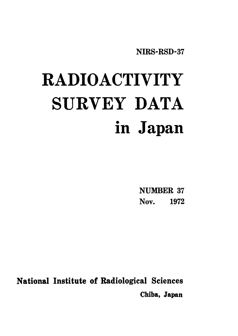NIRS-RSD-37

# **RADIOACTIVITY** SURVEY DATA in Japan

**NUMBER 37** Nov. 1972

National Institute of Radiological Sciences Chiba, Japan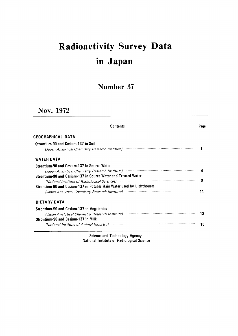## Radioactivity Survey Dat inJapan

### Number 37

## Nov.1972

| <b>Contents</b>                                                                            | Page |
|--------------------------------------------------------------------------------------------|------|
| GEOGRAPHICAL DATA                                                                          |      |
| Strontium-90 and Cesium-137 in Soil                                                        |      |
| (Japan Analytical Chemistry Research Institute)                                            |      |
| <b>WATER DATA</b>                                                                          |      |
| <b>Strontium-90 and Cesium-137 in Source Water</b>                                         |      |
| (Japan Analytical Chemistry Research Institute)                                            |      |
| Strontium-90 and Cesium-137 in Source Water and Treated Water                              |      |
| (National Institute of Radiological Sciences) manufactured and continuum and international | 8    |
| Strontium-90 and Cesium-137 in Potable Rain Water used by Lighthouses                      |      |
| (Japan Analytical Chemistry Research Institute) manufacture and continuum control of       |      |
| DIETARY DATA                                                                               |      |
| <b>Strontium-90 and Cesium-137 in Vegetables</b>                                           |      |
| (Japan Analytical Chemistry Research Institute)                                            | 13   |
| Strontium-90 and Cesium-137 in Milk                                                        |      |
| (National Institute of Animal Industry)                                                    | 16   |

Science and Technology Agency<br>National Institute of Radiological Science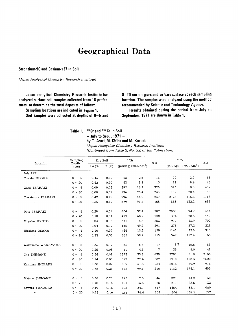## Geographical Data

Strontium-90 and Cesium-137 in Soil

(Japan Analytical Chemistry Research Institute)

Japan analytical Chemistry Research Institute has analyzed surface soil samples collected from 18 prefectures, to determine the total deposits of fallout.

Sampling locations are indicated in Figure 1.

Soil samples were collected at depths of  $0-5$  and

0-20 cm on grassland or bare surface at each sampling location. The samples were analyzed using the method recommended by Science and Technology Agency.

Results obtained during the period from July to September, 1971 are shown in Table 1.

Table 1. <sup>90</sup> Sr and <sup>137</sup> Cs in Soil

 $-$  July to Sep., 1971  $-$ 

by T. Asari, M. Chiba and M. Kuroda

(Japan Analytical Chemistry Research Institute) (Continued from Table 2, No. 32, of this Publication)

|                         | Sampling       | Dry Soil |      | $90$ Sr |                        | S.U | $137 \text{Cs}$ |              | C.U  |
|-------------------------|----------------|----------|------|---------|------------------------|-----|-----------------|--------------|------|
| Location                | Depth<br>(cm)  | Ca (%)   | K(%) |         | $(pCi/Kg)$ $(mCi/Km2)$ |     | (pCi/Kq)        | $(mCi/Km^2)$ |      |
| July 1971               |                |          |      |         |                        |     |                 |              |      |
| Murata MIYAGI           | $0 \sim 5$     | 0.43     | 0.12 | 68      | 2.5                    | 16  | 79              | 2.9          | 66   |
| $\mathbf{r}$            | $0 \sim 20$    | 0.42     | 0.10 | 43      | 5.8                    | 10  | 73              | 9.9          | 73   |
| Oarai IBARAKI           | $0 \sim 5$     | 0.09     | 0.08 | 292     | 16.2                   | 325 | 326             | 18.0         | 407  |
| $\cdots$                | $0 \sim 20$    | 0.08     | 0.09 | 196     | 26.4                   | 245 | 152             | 20.4         | 168  |
| Tokaimura IBARAKI       | $0 \sim 5$     | 0.42     | 0.19 | 996     | 54.2                   | 237 | 2124            | 115.6        | 1118 |
| $\pmb{\cdots}$          | $0 \sim 20$    | 0.35     | 0.12 | 579     | 91.3                   | 165 | 838             | 132.2        | 699  |
| Mito IBARAKI            | $0 \sim 5$     | 0.28     | 0.14 | 804     | 37.4                   | 287 | 2035            | 94.7         | 1454 |
| $\mathcal{L}$           | $0 \sim 20$    | 0.18     | 0.11 | 429     | 68.2                   | 238 | 494             | 78.5         | 449  |
| Miyatsu KYOTO           | $0 \sim 5$     | 0.04     | 0.13 | 341     | 16.4                   | 853 | 912             | 43.9         | 702  |
| $\pmb{\cdot}$           | $0 \sim 20$    | 0.04     | 0.12 | 156     | 49.9                   | 391 | 273             | 87.2         | 228  |
| Hirakata OSAKA          | $0 \sim 5$     | 0.36     | 0.37 | 466     | 13.2                   | 129 | 1147            | 32.5         | 310  |
| $\mathbf{r}$            | $0 \sim 20$    | 0.23     | 0.33 | 265     | 59.2                   | 115 | 549             | 122.4        | 166  |
|                         |                |          |      |         |                        |     |                 |              |      |
| Wakayama WAKAYAMA       | $0 \sim 5$     | 0.33     | 0.12 | 56      | 5.8                    | 17  | 1.3             | 10.6         | 85   |
| $\mathbf{r}$            | $0 \sim 20$    | 0.26     | 0.08 | 19      | 4.5                    | 7   | 33              | 8.0          | 41   |
| Ota SHIMANE             | $0 \sim 5$     | 0.24     | 0.09 | 1523    | 33.3                   | 635 | 2795            | 61.0         | 3106 |
| $\pmb{\cdot}$           | $0 \sim 20$    | 0.14     | 0.05 | 822     | 77.4                   | 587 | 1310            | 123.3        | 2620 |
| Kashima SHIMANE         | $0 \sim 5$     | 0.38     | 0.22 | 889     | 31.3                   | 234 | 2016            | 70.9         | 916  |
| $\boldsymbol{\epsilon}$ | $0 \sim 20$    | 0.32     | 0.26 | 672     | 99.1                   | 210 | 1182            | 174.1        | 455  |
| Matsue SHIMANE          | $0 \sim 5$     | 0.38     | 0.25 | 173     | 7.6                    | 46  | 325             | 14.2         | 130  |
| $\pmb{\cdots}$          | $0 \sim 20$    | 0.40     | 0.16 | 101     | 13.8                   | 25  | 211             | 28.6         | 132  |
| Sawara FUKUOKA          | -5<br>$0 \sim$ | 0.19     | 0.16 | 602     | 24.1                   | 317 | 1454            | 58.1         | 909  |
| $\mathbf{r}^{\prime}$   | $0 \sim 20$    | 0.13     | 0.16 | 331     | 76.4                   | 254 | 604             | 139.5        | 377  |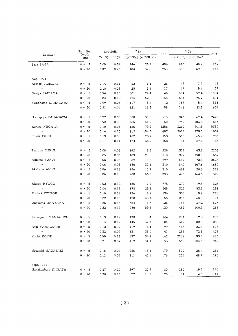|                             | Sampling        |          | Dry Soil. | $90$ Sr |                                   |      | $137$ Cs |                                   |      |
|-----------------------------|-----------------|----------|-----------|---------|-----------------------------------|------|----------|-----------------------------------|------|
| Location                    | Depth<br>(cm)   | Ca $(%)$ | K (%)     |         | $(pCi/Kq)$ (mCi/Km <sup>2</sup> ) | S.U. |          | $(pCi/Kg)$ (mCi/Km <sup>2</sup> ) | C.U  |
| Saqa SAGA                   | $0 \sim 5$      | 0.09     | 0.34      | 446     | 23.9                              | 496  | 910      | 48.7                              | 267  |
| $\bar{\epsilon}$            | $0 \sim 20$     | 0.07     | 0.23      | 184     | 37.6                              | 263  | 338      | 69.0                              | 147  |
| Aug. 1971                   |                 |          |           |         |                                   |      |          |                                   |      |
| Aomori AOMORI               | $0 \sim 5$      | 0.14     | 0.11      | 32      | 1.1                               | 23   | 47       | 1.7                               | 43   |
| $\bar{\epsilon}$            | $0 \sim 20$     | 0.15     | 0.09      | 25      | 5.1                               | 17   | 47       | 9.4                               | 52   |
| Omiya SAITAMA               | $0 \sim 5$      | 0.54     | 0.10      | 801     | 24.4                              | 148  | 1884     | 57.4                              | 1884 |
| $\epsilon$                  | $0 \sim 20$     | 0.84     | 0.10      | 473     | 52.6                              | 56   | 681      | 75.7                              | 681  |
| Yokohama KANAGAWA           | - 5<br>$0 \sim$ | 0.99     | 0.06      | 117     | 3.4                               | 12   | 187      | 5.4                               | 311  |
| $\bar{\epsilon}$            | $0 \sim 20$     | 0.21     | 0.04      | 121     | 11.5                              | 58   | 241      | 22.9                              | 604  |
| Hodogaya KANAGAWA           | $0 \sim 5$      | 0.77     | 0.08      | 888     | 30.8                              | 115  | 1943     | 67.4                              | 2429 |
| $\bar{\epsilon}$            | $0 \sim 20$     | 0.92     | 0.05      | 465     | 51.2                              | 50   | 942      | 103.6                             | 1883 |
| Kariwa NIIGATA              | $0 \sim$<br>- 5 | 0.10     | 0.06      | 126     | 79.2                              | 1256 | 3210     | 201.5                             | 5350 |
| $\bar{\ell}$                | $0 \sim 20$     | 0.16     | 0.20      | 112     | 154.5                             | 697  | 2014     | 279.1                             | 1007 |
| Fukui FUKUI                 | $0 \sim$<br>- 5 | 0.19     | 0.08      | 482     | 23.2                              | 253  | 1365     | 65.7                              | 1706 |
| $\bar{\epsilon}$            | $0 \sim 20$     | 0.11     | 0.11      | 174     | 36.2                              | 158  | 181      | 37.6                              | 164  |
| Tsuruga FUKUI               | $0 \sim 5$      | 0.08     | 0.06      | 182     | 8.8                               | 228  | 1322     | 63.8                              | 2203 |
| $\bar{\epsilon}$            | $0 \sim 20$     | 0.05     | 0.06      | 109     | 20.8                              | 218  | 997      | 190.5                             | 1662 |
| Mihama FUKUI                | $0 \sim 5$      | 0.08     | 0.06      | 239     | 11.4                              | 299  | 1517     | 72.1                              | 2528 |
| $\mathcal{L}(\mathbf{r})$   | $0 \sim 20$     | 0.06     | 0.05      | 186     | 37.1                              | 310  | 840      | 167.6                             | 1680 |
| Akabane AICHI               | 5<br>$0 \sim$   | 0.06     | 0.18      | 186     | 10.9                              | 310  | 489      | 28.6                              | 272  |
| $\mathcal{L}(\mathcal{E})$  | $0 \sim 20$     | 0.06     | 0.15      | 200     | 66.6                              | 333  | 493      | 164.6                             | 329  |
| Akashi HYOGO                | $0 \sim 5$      | 0.02     | 0.12      | 156     | 7.7                               | 778  | 392      | 19.3                              | 326  |
| $\mathbf{r}$                | $0 \sim 20$     | 0.04     | 0.11      | 178     | 29.6                              | 445  | 322      | 53.5                              | 293  |
| Tottori TOTTORI             | $0 \sim 5$      | 0.10     | 0.12      | 136     | 8.2                               | 136  | 330      | 19.9                              | 275  |
| $\mathcal{L}^{\mathcal{L}}$ | $0 \sim 20$     | 0.32     | 0.13      | 178     | 48.4                              | 56   | 253      | 68.5                              | 194  |
| Okayama OKAYAMA             | - 5<br>$0 \sim$ | 0.26     | 0.15      | 324     | 15.3                              | 125  | 785      | 37.2                              | 523  |
| $\mathcal{L} \mathcal{L}$   | $0 \sim 20$     | 0.22     | 0.17      | 286     | 59.8                              | 130  | 482      | 100.5                             | 283  |
| Yamaquchi YAMAGUCHI         | - 5<br>$0 \sim$ | 0.13     | 0.12      | 138     | 8.4                               | 106  | 284      | 17.3                              | 236  |
| $\bar{\ell}$                | $0 \sim 20$     | 0.14     | 0.12      | 145     | 37.4                              | 104  | 319      | 82.0                              | 266  |
| Hagi YAMAGUCHI              | $0 \sim 5$      | 0.12     | 0.09      | 119     | 6.1                               | 99   | 456      | 23.4                              | 506  |
| $\epsilon$ .                | $0 \sim 20$     | 0.32     | 0.07      | 131     | 33.4                              | 41   | 286      | 72.9                              | 409  |
| Kochi KOCHI                 | $0 \sim 5$      | 0.59     | 0.16      | 837     | 34.2                              | 142  | 2282     | 93.3                              | 1426 |
| $\alpha$                    | $0 \sim 20$     | 0.31     | 0.07      | 412     | 84.1                              | 133  | 660      | 134.6                             | 942  |
| Naqasaki NAGASAKI           | $0 \sim 5$      | 0.16     | 0.04      | 286     | 15.1                              | 179  | 500      | 26.4                              | 1251 |
| $\epsilon$ .                | $0 \sim 20$     | 0.12     | 0.04      | 211     | 43.1                              | 176  | 238      | 48.7                              | 596  |
| Sept. 1971                  |                 |          |           |         |                                   |      |          |                                   |      |
| Nakakanbara NIIGATA         | $0 \sim 5$      | 0.37     | 0.20      | 297     | 20.9                              | 80   | 280      | 19.7                              | 140  |
| $\alpha$                    | $0 \sim 20$     | 0.28     | 0.13      | 72      | 18.9                              | 26   | 54       | 14.0                              | 41   |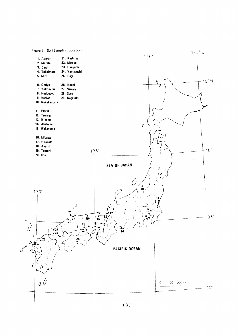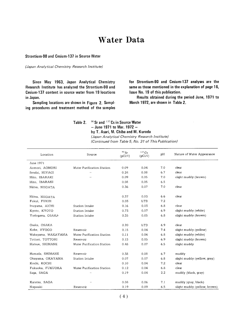## **Water Data**

Strontium-90 and Cesium-137 in Source Water

(Japan Analytical Chemistry Research Institute)

Since May 1963, Japan Analytical Chemistry Research Institute has analyzed the Strontium-90 and Cesium-137 content in source water from 19 locations in Japan.

Sampling locations are shown in Figure 2. Sampling procedures and treatment method of the samples for Strontium-90 and Cesium-137 analyses are the same as those mentioned in the explanation of page 16, Issue No. 19 of this publication.

Results obtained during the period June, 1971 to March 1972, are shown in Table 2.

#### 90 Sr and 137 Cs in Source Water Table 2.  $-$  June 1971 to Mar. 1972  $$ by T. Asari, M. Chiba and M. Kuroda

(Japan Analytical Chemistry Research Institute)

(Continued from Table 5, No. 31 of This Publication)

| Location           | Source                     | $90$ Sr<br>$(pCi/\ell)$ | $137 \text{Cs}$<br>$(pCi/\ell)$ | pH  | Nature of Water Appearance   |
|--------------------|----------------------------|-------------------------|---------------------------------|-----|------------------------------|
| June 1971          |                            |                         |                                 |     |                              |
| Aomori, AOMORI     | Water Purification Station | 0.09                    | 0.04                            | 7.0 | clear                        |
| Sendai, MIYAGI     | $\epsilon$ .               | 0.24                    | 0.08                            | 6.7 | clear                        |
| Mito, IBARAKI      | $\mathcal{L}(\mathcal{L})$ | 0.09                    | 0.05                            | 7.0 | slight muddy (brown)         |
| Mito IBARAKI       |                            | 0,08                    | 0.05                            | 6.5 |                              |
| Niitsu, NIIGATA    |                            | 0.36                    | 0.07                            | 7.0 | clear                        |
| Niitsu, NIIGATA    |                            | 0.37                    | 0.03                            | 6.6 | clear                        |
| Fukui, FUKUI       |                            | 0.03                    | <b>LTD</b>                      | 7.2 |                              |
| Inuyama, AICHI     | Station Intake             | 0.16                    | 0.03                            | 6.8 | clear                        |
| Kyoto, KYOTO       | Station Intake             | 0.73                    | 0.07                            | 6.9 | slight muddy (white)         |
| Yodogawa, OSAKA    | Station Intake             | 0.35                    | 0.05                            | 6.8 | slight muddy (brown)         |
| Osaka, OSAKA       |                            | 0.20                    | <b>LTD</b>                      | 6.9 | clear                        |
| Kobe, HYOGO        | Reservoir                  | 0.15                    | 0.04                            | 7.4 | slight muddy (yellow)        |
| Wakayama, WAKAYAMA | Water Purification Station | 0.11                    | 0.04                            | 6.8 | slight muddy (white)         |
| Tottori, TOTTORI   | Reservoir                  | 0.13                    | 0.05                            | 6.9 | slight muddy (brown)         |
| Matsue, SHIMANE    | Water Purification Station | 0.48                    | 0.07                            | 6,5 | slight muddy                 |
| Hamada, SHIMANE    | Reservoir                  | 0.38                    | 0.08                            | 6.7 | muddy                        |
| Okayama, OKAYAMA   | Station Intake             | 0.07                    | 0.07                            | 6.8 | slight muddy (yellow, qray)  |
| Kochi, KOCHI       |                            | 0.10                    | 0.04                            | 7.2 | clear                        |
| Fukuoka, FUKUOKA   | Water Purification Station | 0.12                    | 0.04                            | 6.8 | clear                        |
| Saga, SAGA         | $\epsilon$                 | 0.19                    | 0.04                            | 2.2 | muddy (black, gray)          |
| Karatsu, SAGA      | $\alpha$                   | 0.08                    | 0.06                            | 7.1 | muddy (qray, black)          |
| Naqasaki           | Reservoir                  | 0.19                    | 0.09                            | 6.5 | slight muddy (yellow, brown) |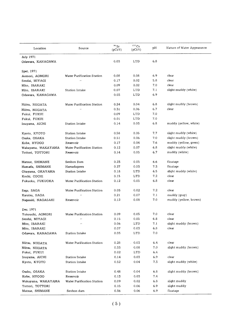| Location           | Source                     | $^{90}\rm{Sr}$<br>$(pCi/\ell)$ | $137$ Cs<br>$(pCi/\ell)$ | pH    | Nature of Water Appearance |
|--------------------|----------------------------|--------------------------------|--------------------------|-------|----------------------------|
| July 1971          |                            |                                |                          |       |                            |
| Odawara, KANAGAWA  |                            | 0.03                           | LTD                      | 6.8   |                            |
|                    |                            |                                |                          |       |                            |
| Spet. 1971         |                            |                                |                          |       |                            |
| Aomori, AOMORI     | Water Purification Station | 0.08                           | 0.08                     | 6.9   | clear                      |
| Sendai, MIYAGI     | $\cdot$                    | 0.17                           | 0.02                     | 5.8   | clear                      |
| Mito, IBARAKI      |                            | 0.09                           | 0.02                     | 7.0   | clear                      |
| Mito, IBARAKI      | Station Intake             | 0.07                           | LTD                      | 7.1   | slight muddy (white)       |
| Odawara, KANAGAWA  |                            | 0.03                           | <b>LTD</b>               | 6.9   |                            |
| Niitsu, NIIGATA    | Water Purification Station | 0.24                           | 0.04                     | 6.8   | slight muddy (brown)       |
| Niitsu, NIIGATA    | $\epsilon$                 | 0.31                           | 0.06                     | 6.7   | clear                      |
| Fukui, FUKUI       |                            | 0.09                           | <b>LTD</b>               | 7.0   |                            |
| Fukui, FUKUI       |                            | 0.01                           | <b>LTD</b>               | 7.0   |                            |
| Inuyama, AICHI     | Station Intake             | 0.14                           | 0.03                     | 6.8   | muddy (yellow, white)      |
|                    |                            |                                |                          |       |                            |
| Kyoto, KYOTO       | Station Intake             | 0.58                           | 0.05                     | 7.7   | slight muddy (white)       |
| Osaka, OSAKA       | Station Intake             | 0.51                           | 0.06                     | 7.0   | slight muddy (brown)       |
| Kobe, HYOGO        | Reservoir                  | 0.17                           | 0.04                     | 7.6   | muddy (yellow, green)      |
| Wakayama, WAKAYAMA | Water Purification Station | 0.12                           | 0.07                     | 6.8   | slight muddy (white)       |
| Tottori, TOTTORI   | Reservoir                  | 0.14                           | 0.05                     | 6.7   | muddy (white)              |
| Matsue, SHIMANE    | Senbon Dam                 | 0.23                           | 0.05                     | 6.6   | floatage                   |
| Hamada, SHIMANE    | Hamadagawa                 | 0.27                           | 0.03                     | 7.3   | floatage                   |
| Okayama, OKAYAMA   | Station Intake             | 0.18                           | LTD                      | 6.5   | slight muddy (white)       |
| Kochi, COCHI       |                            | 0.15                           | LTD                      | 7,2   | clear                      |
| Fukuoka, FUKUOKA   | Water Purification Station | 0.12                           | 0.05                     | 6.8   | clear                      |
| Saga, SAGA         | Water Purification Station | 0.03                           | 0.02                     | 7.2   | clear                      |
| Karatsu, SAGA      | $\bar{r}$                  | 0.21                           | 0.07                     | 7.1   | muddy (gray)               |
| Nagasaki, NAGASAKI | Reservoir                  | 0.12                           | 0.08                     | 7.0   | muddy (yellow, brown)      |
|                    |                            |                                |                          |       |                            |
| Dec. 1971          |                            |                                |                          |       |                            |
| Yokouchi, AOMORI   | Water Purification Station | 0.09                           | 0.05                     | 7.0   | clear                      |
| Sendai, MIYAGI     | $\pmb{\cdot}$              | 0.15                           | 0.05                     | 6.8   | clear                      |
| Mito, IBARAKI      | $\epsilon$ $t$             | 0.06                           | LTD                      | 7.1   | slight muddy (brown)       |
| Mito, IBARAKI      |                            | 0.07                           | 0.03                     | 6.8   | clear                      |
| Odawara, KANAGAWA  | Station Intake             | 0.03                           | LTD                      | 7.0   |                            |
| Niitsu, NIIGATA    | Water Purification Station | 0.28                           | 0.03<br>ä,               | 6.4   | clear                      |
| Niitsu, NIIGATA    |                            | 0.33                           | 0.08                     | 7.0   | slight muddy (brown)       |
| Fukui, FUKUI       |                            | 0.02                           | <b>LTD</b>               | 6.4   |                            |
| Inuyama, AICHI     | Station Intake             | 0.14                           | 0.03                     | 6.9   | clear                      |
| Kyoto, KYOTO       | Station Intake             | 0.52                           | 0.04                     | 7.3   | slight muddy (white)       |
| Osaka, OSAKA       | Station Intake             | 0.48                           | 0.04                     | $6.8$ | slight muddy (brown)       |
| Kobe, HYOGO        | Reservoir                  | 0.13                           | 0.03                     | 7.4   |                            |
| Wakayama, WAKAYAMA | Water Purification Station | 0.09                           | 0.02                     | 6.8   | slight muddy               |
| Tottori, TOTTORI   |                            | 0.15                           | 0.06                     | 6.9   | slight muddy               |
| Matsue, SHIMANE    | Senbon dam                 | 0.36                           | 0.06                     | 6.9   | floatage                   |
|                    |                            |                                |                          |       |                            |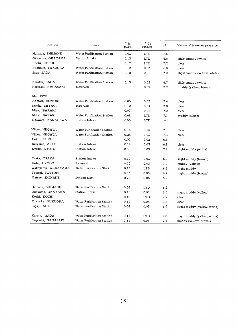| Location           | Source                     | $90$ Sr<br>$(pCi/\ell)$ | $137$ Cs<br>$(pCi/\ell)$ | pН  | Nature of Water Appearance   |
|--------------------|----------------------------|-------------------------|--------------------------|-----|------------------------------|
| Hamada, SHIMANE    | Water Purification Station | 0.03                    | LTD                      | 6.5 |                              |
| Okayama, OKAYAMA   | Station Intake             | 0.13                    | LTD                      | 6.8 | slight muddy (white)         |
| Kochi, KOCHI       |                            | 0.12                    | <b>LTD</b>               | 7.2 | clear                        |
| Fukuoka, FUKUOKA   | Water Purification Station | 0.12                    | 0.03                     | 6.8 | clear                        |
| Saqa, SAGA         | Water Purification Station | 0.10                    | 0.02                     | 7.0 | slight muddy (yellow, white) |
| Karatsu, SAGA      | Water Purification Station | 0.13                    | 0.02                     | 6.7 | slight muddy (white)         |
| Naqasaki, NAGASAKI | Reservoir                  | 0.11                    | 0.07                     | 7.2 | muddy (yellow, brown)        |
| Mar. 1972          |                            |                         |                          |     |                              |
| Aomori, AOMORI     | Water Purification Station | 0.05                    | 0.03                     | 7.4 | clear                        |
| Sendai, MIYAGI     | Reservoir                  | 0.12                    | 0.04                     | 7.0 | clear                        |
| Mito, IBARAKI      |                            | 0.07                    | 0.02                     | 7.0 | clear                        |
| Mito, IBARAKI      | Water Purification Station | 0.08                    | <b>LTD</b>               | 7.1 | muddy (white)                |
| Odawara, KANAGAWA  | Station Intake             | 0.03                    | LTD                      |     |                              |
| Niitsu, NIIGATA    | Water Purification Station | 0.16                    | 0.03                     | 7.1 | clear                        |
| Niitsu, NIIGATA    | Water Purification Station | 0.23                    | 0.03                     | 7.3 | clear                        |
| Fukui, FUKUI       |                            | 0.02                    | 0.02                     | 6.6 |                              |
| Inuyama, AICHI     | <b>Station Intake</b>      | 0.14                    | 0.03                     | 6.9 | clear                        |
| Kyoto, KYOTO       | <b>Station Intake</b>      | 0.55                    | 0.03                     | 7.2 | slight muddy (white)         |
| Osaka, OSAKA       | Station Intake             | 0.39                    | 0.03                     | 6.9 | slight muddy (brown)         |
| Kobe, HYOGO        | Reservoir                  | 0.10                    | 0.03                     | 7.4 | muddy (yellow)               |
| Wakayama, WAKAYAMA | Water Purification Station | 0.10                    | <b>LTD</b>               | 6.8 | slight muddy                 |
| Tottori, TOTTORI   |                            | 0.13                    | 0.05                     | 6.7 | slight muddy (brown)         |
| Matsue, SHIMANE    | Senbon Dam                 | 0.20                    | 0.06                     | 6.2 |                              |
| Hamada, SHIMANE    | Water Purification Station | 0.04                    | LTD                      | 6.2 |                              |
| Okayama, OKAYAMA   | Station Intake             | 0.15                    | 0.02                     | 6.8 | slight muddy (yellow)        |
| Kochi, KOCHI       |                            | 0.12                    | <b>LTD</b>               | 7.2 | clear                        |
| Fukuoka, FUKUOKA   | Water Purification Station | 0.12                    | 0.04                     | 6.8 | clear                        |
| Saga, SAGA         | Water Purification Station | 0.04                    | 0.03                     | 6.9 | slight muddy (yellow, white) |
| Karatsu, SAGA      | Water Purification Station | 0.11                    | <b>LTD</b>               | 7.0 | slight muddy (yellow, white) |
| Naqasaki, NAGASAKI | Water Purification Station | 0.11                    | 0.05                     | 7.4 | muddy (vellow, brown)        |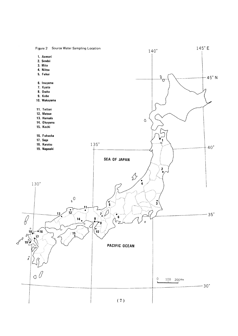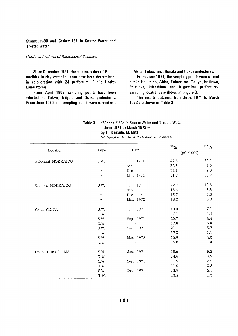#### Strontium-90 and Cesium-137 in Source Water and **Treated Water**

#### (National Institute of Radiological Sciences)

Since December 1961, the concentration of Radionuclides in city water in Japan have been determined, in co-operation with 24 prefectural Public Health Laboratories.

From April 1963, sampling points have been selected in Tokyo, Niigata and Osaka prefectures. From June 1970, the sampling points were carried out in Akita, Fukushima, Ibaraki and Fukui prefectures.

From June 1971, the sampling points were carried out in Hokkaido, Akita, Fukushima, Tokyo, Ishikawa, Shizuoka, Hiroshima and Kagoshima prefectures. Sampling locations are shown in Figure 3.

The results obtained from June, 1971 to March 1972 are shown in Table 3.

#### 90 Sr and 137 Cs in Source Water and Treated Water Table 3. - June 1971 to March 1972 by H. Kamada, M. Mita

(National Institute of Radiological Sciences)

|                   |                  |                                 | $^{90}\rm{Sr}$  | 137C <sub>S</sub> |
|-------------------|------------------|---------------------------------|-----------------|-------------------|
| Location          | Type             | Date                            | $(pCi/100\ell)$ |                   |
| Wakkanai HOKKAIDO | S.W.             | Jun. 1971                       | 47.6            | 30.4              |
|                   | $\bar{t}$ i      | Sep.<br>$\bar{t}$               | 32.6            | 5.0               |
|                   | $\boldsymbol{r}$ | Dec.<br>$\boldsymbol{\epsilon}$ | 32.1            | 9.8               |
|                   | $\mathbf{r}$     | Mar. 1972                       | 51.7            | 10.7              |
| Sapporo HOKKAIDO  | S.W.             | Jun. 1971                       | 22.7            | 10.6              |
|                   | $\epsilon$       | Sep.<br>$\mathcal{F}$           | 13.6            | 3.6               |
|                   | $\mathbf{r}$     | Dec.<br>$\boldsymbol{\epsilon}$ | 13.7            | 5.3               |
|                   | $\pmb{\cdot}$    | Mar. 1972                       | 18.2            | 6.8               |
| Akita AKITA       | S.W.             | Jun. 1971                       | 10.0            | 7.1               |
|                   | T.W.             | $\bar{D}$                       | 7.1             | 4.4               |
|                   | S.W.             | Sep. 1971                       | 20.7            | 4.4               |
|                   | T.W.             | $\alpha$                        | 17.8            | 3.4               |
|                   | S.W.             | Dec. 1971                       | 21.1            | 5.7               |
|                   | T.W.             | $\mathcal{F}(\mathcal{E})$      | 17.3            | 1.1               |
|                   | S.W              | Mar. 1972                       | 16.9            | 4.0               |
|                   | T.W.             | $\mathbf{r}$                    | 15.0            | 1.4               |
| Iizaka FUKUSHIMA  | S.W.             | Jun. 1971                       | 18.6            | 5.2               |
|                   | T.W.             | $\epsilon\epsilon$              | 14.6            | 3.7               |
|                   | S.W.             | Sep. 1971                       | 11.9            | 2.2               |
|                   | T.W.             | $\alpha$                        | 11.0            | 0.8               |
|                   | S.W.             | Dec. 1971                       | 13.9            | 2.1               |
|                   | T.W.             | $\pmb{r}$ ,                     | 13.2            | 1.3               |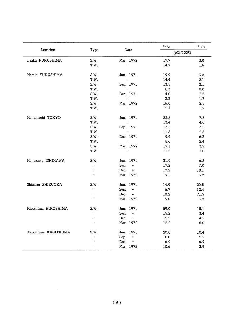| Location            |                         | Date                         | $90$ Sr         | 137C <sub>S</sub> |
|---------------------|-------------------------|------------------------------|-----------------|-------------------|
|                     | Type                    |                              | $(pCi/100\ell)$ |                   |
| Iizaka FUKUSHIMA    | S.W.                    | Mar. 1972                    | 17.7            | 3.0               |
|                     | T.W.                    | $\mathcal{F}(\mathcal{E})$   | 14.7            | 1.6               |
| Namie FUKUSHIMA     | S.W.                    | Jun. 1971                    | 19.9            | 3.8               |
|                     | T.W.                    | $\sim$                       | 14.4            | 2.1               |
|                     | S.W.                    | Sep. 1971                    | 13.5            | 2.1               |
|                     | T.W.                    | $\sim$ 10 $^{\circ}$         | 8.3             | 0.8               |
|                     | S.W.                    | Dec. 1971                    | 4.0             | 2.5               |
|                     | T.W.                    | $\mathbf{u}$                 | 3.3             | 1.7               |
|                     | S.W.                    | Mar. 1972                    | 16.0            | 2.5               |
|                     | T.W.                    | $\mathcal{F}(\mathcal{E})$   | 12.4            | 1.7               |
| Kanamachi TOKYO     | S.W.                    | Jun. 1971                    | 22.8            | 7.8               |
|                     | T.W.                    | $\sim 10^{-11}$              | 13.4            | 4.6               |
|                     | S.W.                    | Sep. 1971                    | 13.5            | 3.5               |
|                     | T.W.                    | $\sim 10^{11}$ km $^{-1}$    | 11.8            | 2.8               |
|                     | S.W.                    | Dec. 1971                    | 9.4             | 6.3               |
|                     | T.W.                    | $\sim 10^{-11}$              | 8.6             | 2.4               |
|                     | S.W.                    | Mar. 1972                    | 17.1            | 3.9               |
|                     | T.W.                    | $\sim 10^{-11}$              | 11.5            | 3.0               |
| Kanazawa ISHIKAWA   | S.W.                    | Jun. 1971                    | 31.9            | 6.2               |
|                     | $\mathbf{r}$            | Sep.<br>$\hat{H}$            | 17.2            | 7.0               |
|                     | $\boldsymbol{\epsilon}$ | Dec. $\cdots$                | 17.2            | 18.1              |
|                     | $\mathbf{r}$            | Mar. 1972                    | 19.1            | 6.2               |
| Shimizu SHIZUOKA    | S.W.                    | Jun. 1971                    | 14.9            | 20.5              |
|                     | $\overline{B}$          | Sep.<br>$\bar{\ell}$         | 6.7             | 12.4              |
|                     | $\mathbf{r}$            | Dec.<br>$\alpha$             | 10.2            | 71.5              |
|                     | $\bar{I}$ $I$           | Mar. 1972                    | 9.6             | 3.7               |
| Hiroshima HIROSHIMA | S.W.                    | Jun. 1971                    | 59.0            | 15.1              |
|                     | $\mathbf{r}$            | Sep.<br>$\bar{\ell}$         | 15.2            | 3.4               |
|                     | $\mathbf{r}$            | Dec.<br>$\epsilon$ .         | 15.2            | 4.2               |
|                     | $\mathbf{r}$            | Mar. 1972                    | 12.2            | 6.0               |
| Kagoshima KAGOSHIMA | S.W.                    | Jun. 1971                    | 20.8            | 10.4              |
|                     | $\bar{t}$               | Sep.<br>$\ddot{\phantom{0}}$ | 10.0            | 2.2               |
|                     | $\bar{\ell}$            | Dec.<br>$\sim$ $\alpha$      | 6.9             | 6.9               |
|                     | $\lambda$               | Mar. 1972                    | 10.6            | 3.9               |

 $\mathbb{R}^2$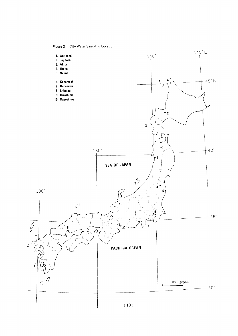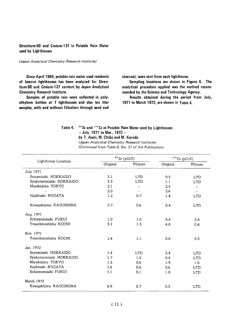#### Strontium-90 and Cesium-137 in Potable Rain Water used by Lighthouses

#### (Japan Analytical Chemistry Research Institute)

Since April 1964, potable rain water used residents of beacon lighthouses has been analyzed for Strontium-90 and Cesium-137 content by Japan Analytical **Chemistry Research Institute.** 

Samples of potable rain were collected in polyethylene bottles at 7 lighthouses and also ten liter samples, with and without filtration through sand and

charcoal, were sent from each lighthouse.

Sampling locations are shown in Figure 4. The analytical procedure applied was the method recommended by the Science and Technology Agency.

Results obtained during the period from July, 1971 to March 1972, are shown in Table 4.

#### Table 4. 90 Sr and 137 Cs in Potable Rain Water used by Lighthouses - July, 1971 to Mar., 1972 -

by T. Asari, M. Chiba and M. Kuroda

(Japan Analytical Chemistry Research Institute) (Continued from Table 6, No. 31 of this Publication)

|                         |          | $^{90}$ Sr (pCi/ $\ell$ ) |          | $^{137}\mathrm{Cs}$ (pCi/ $\ell$ ) |
|-------------------------|----------|---------------------------|----------|------------------------------------|
| Lighthouse Location     | Original | Filtrate                  | Original | Filtrate                           |
| <b>July 1971</b>        |          |                           |          |                                    |
| Soyamisaki HOKKAIDO     | 3.1      | <b>LTD</b>                | 0.5      | <b>LTD</b>                         |
| Syakotanmisaki HOKKAIDO | 3.3      | <b>LTD</b>                | 1.1      | LTD                                |
| Miyakejima TOKYO        | 2.1      | $\overline{\phantom{a}}$  | 2.5      |                                    |
| $\boldsymbol{r}$        | 2.0      |                           | 2.6      | $\overline{\phantom{a}}$           |
| Hajikisaki NIIGATA      | 1.2      | 0.7                       | 1.4      | LTD                                |
| Kusagakijima KAGOSHIMA  | 0.7      | 0.6                       | 0.4      | <b>LTD</b>                         |
| Aug. 1971               |          |                           |          |                                    |
| Echizenmisaki FUKUI     | 1.0      | 1.0                       | 0.4      | 0.4                                |
| Tosaokinoshima KOCHI    | 3.1      | 1.3                       | 4.8      | 0.4                                |
| Nov. 1971               |          |                           |          |                                    |
| Tosaokinoshima KOCHI    | 1.4      | 1.1                       | 0.8      | 0.5                                |
| Jan. 1972               |          |                           |          |                                    |
| Soyamisaki HOKKAIDO     | 1.4      | <b>LTD</b>                | 2.4      | LTD                                |
| Svakotanmisaki HOKKAIDO | 1.7      | 1.5                       | 0.4      | <b>LTD</b>                         |
| Miyakejima TOKYO        | 1.5      | 0.6                       | 1.9      | 1.0                                |
| Hajikisaki NIIGATA      | 1.6      | 0.6                       | 0.6      | <b>LTD</b>                         |
| Echizenmisaki FUKUI     | 1.1      | 0.1                       | 1.8      | <b>LTD</b>                         |
| <b>March 1972</b>       |          |                           |          |                                    |
| Kusaqakijima KAGOSHIMA  | 0.9      | 0.7                       | 0.5      | <b>LTD</b>                         |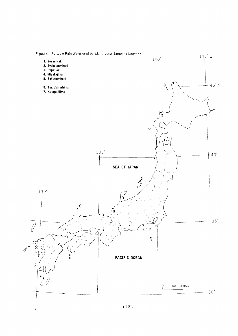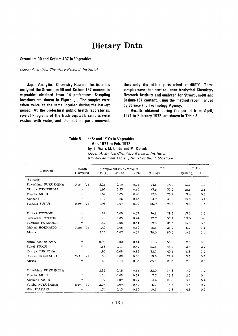## Dietary Data

Strontium-90 and Cesium-137 in Vegetables

(Japan Analytical Chemistry Research Institute)

Japan Analytical Chemistry Research Institute has analyzed the Strontium-90 and Cesium-137 content in vegetables obtained from 14 prefectures. Sampling locations are shown in Figure 5. The samples were taken twice at the same location during the harvest period. At the prefectural public health laboratories, several kilograms of the fresh vegetable samples were washed with water, and the inedible parts removed,

then only the edible parts ashed at 450°C. These samples were then sent to Japan Analytical Chemistry Research Institute and analyzed for Strontium-90 and Cesium-137 content, using the method recommended by Science and Technology Agency.

Results obtained during the period from April, 1971 to February 1972, are shown in Table 5.

| Table 5. | $90$ Sr and $137$ Cs in Vegetables |
|----------|------------------------------------|
|          | $-$ Apr. 1971 to Feb. 1972 $-$     |

Feb. 1972 by T. Asari, M. Chiba and M. Kuroda

(Japan Analytical Chemistry Research Institute)

(Continued from Table 3, No. 31 of this Publication)

|                                     | Month                      |           | Component (% by Weight) |         | $^{90}\rm{Sr}$ |      | $^{137}\mathrm{Cs}$ |        |
|-------------------------------------|----------------------------|-----------|-------------------------|---------|----------------|------|---------------------|--------|
| Location                            | Harvested                  | Ash $(%)$ | Ca $(%)$                | $K(\%)$ | (pCi/Kg)       | S.U  | (pCi/Kq)            | C.U    |
| (Spinach)                           |                            |           |                         |         |                |      |                     |        |
| Fukushima FUKUSHIMA                 | '71<br>Apr.                | 2.25      | 0.10                    | 0.76    | 14.8           | 14.8 | 13.6                | 1.8    |
| Okuma FUKUSHIMA                     | $\bullet$                  | 1.92      | 0.23                    | 0.67    | 73.5           | 32.0 | 15.6                | 2.3    |
| Toyota AICHI                        | $\cdot$                    | 1.09      | 0.05                    | 0.43    | 12.6           | 25.2 | 3.4                 | 0.8    |
| Akabane<br>$\overline{\phantom{a}}$ | $\bar{\ell}$               | 1.17      | 0.06                    | 0.44    | 24.9           | 41.5 | 13.6                | 3.1    |
| Tsuruqa FUKUI                       | '71<br>May                 | 1.93      | 0.07                    | 0.72    | 66.9           | 95.6 | 9.5                 | 1.3    |
| Tottori TOTTORI                     | $\cdot$                    | 1.82      | 0.09                    | 0.79    | 26.8           | 29.8 | 13.0                | 1.7    |
| Kurayoshi TOTTORI                   | $\cdot$                    | 1.18      | 0.05                    | 0.44    | 27.7           | 55.4 | <b>LTD</b>          | $\sim$ |
| Fukuoka FUKUOKA                     | $\cdot\cdot$               | 1.32      | 0.08                    | 0.41    | 19.4           | 24.3 | 13.3                | 3.3    |
| Ishikari HOKKAIDO                   | '71<br>June                | 1.42      | 0.06                    | 0.52    | 15.5           | 25.9 | 5.7                 | 1.1    |
| Atsuta<br>$\pmb{\cdot}$             | $\ddot{\phantom{a}}$       | 2.10      | 0.07                    | 0.72    | 35.0           | 50.0 | 10.1                | 1.4    |
| Miura KANAGAWA                      | $\qquad \qquad$            | 0.95      | 0.02                    | 0.41    | 11.3           | 56.6 | 2.6                 | 0.6    |
| Fukui FUKUI                         | $\mathcal{L}(\mathcal{E})$ | 1.63      | 0.11                    | 0.47    | 53.8           | 48.9 | 12.6                | 2.7    |
| Kasuya FUKUOKA                      | $\cdot$                    | 1.97      | 0.08                    | 0.85    | 32.1           | 40.1 | 8.8                 | 1,0    |
| Ishikari HOKKAIDO                   | '71<br>Oct.                | 1.63      | 0.09                    | 0.56    | 19.0           | 21.2 | 3.5                 | 0.6    |
| Atsuta<br>$\bullet$                 | $\cdot$                    | 1.69      | 0.14                    | 0.53    | 35.5           | 25.3 | 12.0                | 2.3    |
| Fukushima FUKUSHIMA                 | $\cdots$                   | 2.56      | 0.15                    | 0.65    | 22.0           | 14.6 | 7.9                 | 1.2    |
| Toyota AICHI                        | $\mathbf{r}$               | 1.28      | 0.05                    | 0.51    | 7.7            | 15.3 | 2.2                 | 0.4    |
| Akabene AICHI                       | $\pmb{\cdot}$              | 1.97      | 0.07                    | 0.77    | 14.4           | 20.6 | 3.1                 | 0.4    |
| Futaba FUKUSHIMA                    | '71<br>Nov.                | 2.05      | 0.09                    | 0.62    | 16.7           | 18.6 | 4.4                 | 0.7    |
| Mito IBARAKI                        | $\cdot$                    | 1.74      | 0.13                    | 0.50    | 10.1           | 7.8  | 4.3                 | 0.9    |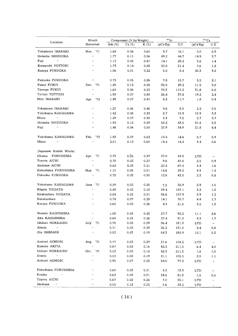| Location                                    | Month<br>Harvested          |                              | Component (% by Weight) |                   |         | $^{90}\rm{Sr}$ |       | $137$ Cs   |                          |
|---------------------------------------------|-----------------------------|------------------------------|-------------------------|-------------------|---------|----------------|-------|------------|--------------------------|
|                                             |                             |                              | Ash $(\%)$              | Ca (%)            | $K(\%)$ | (pCi/Kg)       | S.U   | (pCi/Kq)   | C.U                      |
| Tokaimura IBARAKI                           | Nov. '71                    |                              | 1.69                    | 0.06              | 0.60    | 9.7            | 16.1  | 2.0        | 0.3                      |
| Gotenba SHIZUOKA                            | $\bar{\phantom{a}}$         |                              | 1.77                    | 0.11              | 0.56    | 49.2           | 44.7  | 14.9       | 2.7                      |
| Fuji<br>$\mathcal{L} \mathcal{L}$           | $\lambda$                   |                              | 1.12                    | 0.05              | 0.41    | 14.1           | 28.2  | 5.6        | 1.4                      |
| Kurayoshi TOTTORI                           | $\boldsymbol{\epsilon}$     |                              | 1.73                    | 0.14              | 0.58    | 30.0           | 21.4  | 7.6        | 1.3                      |
| Kasuya FUKUOKA                              | $\mathbf{r}$ .              |                              | 1.06                    | 0.01              | 0.22    | 5,0            | 8.4   | 20.3       | 9.2                      |
| Fukuoka FUKUOKA                             | $\pmb{\cdot}$               |                              | 0.72                    | 0.05              | 0.26    | 7.8            | 15.7  | 5.5        | 2.1                      |
| Fukui FUKUI                                 | Dec. '71                    |                              | 1.28                    | 0.12              | 0.38    | 35.0           | 29.2  | 11.5       | 3.0                      |
| Tsuruqa FUKUI                               | $\bar{\epsilon}$            |                              | 1.60                    | 0.06              | 0.53    | 70.3           | 117.2 | 31.8       | 6.0                      |
| Tottori TOTTORI                             | $\bar{\epsilon}$            |                              | 1.98                    | 0.07              | 0.80    | 26.4           | 37.8  | 19.2       | 2,4                      |
| Mito IBARAKI                                | Apr. '72                    |                              | 1.49                    | 0.07              | 0.47    | 8,2            | 11.7  | 1.8        | 0.4                      |
| Tokaimura IBARAKI                           | $\mathbf{r}$                |                              | 1.27                    | 0.06              | 0.40    | 4.8            | 8.0   | 2.2        | 0.5                      |
| Yokohama KANAGAWA                           | $\epsilon$ .                |                              | 1.42                    | 0.08              | 0.33    | 8.7            | 10.9  | 10.9       | 3.3                      |
| Miura<br>$\boldsymbol{\alpha}$              | $\mathbf{r}$ ,              |                              | 1.29                    | 0.07              | 0.38    | 5.3            | 7.5   | 2.7        | 0.7                      |
| Gotenba SHIZUOKA                            | $\epsilon$                  |                              | 1.92                    | 0.12              | 0.59    | 52.2           | 43.5  | 31.5       | 5.3                      |
| Fuji<br>$\pmb{\cdot}$                       | $\pmb{\cdot}$               |                              | 1.48                    | 0.06              | 0.50    | 20.9           | 34.9  | 21.8       | 4.4                      |
| Yokohama KANAGAWA                           | Feb. '72                    |                              | 1.92                    | 0.07              | 0.62    | 10.4           | 14.8  | 5.7        | 0.9                      |
| Miura<br>$\boldsymbol{\mu}$                 | $\epsilon$                  |                              | 2.01                    | 0.10              | 0.60    | 14.4           | 14.4  | 3.4        | 0.6                      |
| (Japanese Radish Whole)                     |                             |                              |                         |                   |         |                |       |            |                          |
| Okuma FUKUSHIMA                             | Apr. '71                    |                              | 0.73                    | $0.\overline{0}5$ | 0.27    | 27.0           | 54.0  | <b>LTD</b> | $\overline{\phantom{0}}$ |
| Toyota AICHI                                | $\bar{\ell}$                |                              | 0.78                    | 0.02              | 0.27    | 9.6            | 47.8  | 2.5        | 0.9                      |
| Akabane AICHI                               | $\bar{\epsilon}$            |                              | 0.63                    | 0.03              | 0.21    | 20.2           | 67.4  | 3.4        | 1.6                      |
| Kukushima FUKUSHIMA                         | May '71                     |                              | 1.10                    | 0.05              | 0.31    | 14.6           | 29.2  | 4.3        | 1.4                      |
| Fukuoka FUKUOKA                             | $\pmb{\cdot}$               |                              | 0.72                    | 0.03              | 0.30    | 12.8           | 42.5  | 2.3        | 0.8                      |
| Yokohama KANAGAWA                           | June '71                    |                              | 0.59                    | 0.02              | 0.20    | 7,2            | 35.9  | 2.9        | 1.5                      |
| Niigata NIIGATA                             | $\bar{\epsilon}$            |                              | 0.49                    | 0.02              | 0.18    | 29.4           | 147.1 | 3.2        | 1.8                      |
| Kitakanbara NIIGATA                         | $\bar{\boldsymbol{r}}$      |                              | 0.84                    | 0.02              | 0.31    | 36.6           | 157.9 | 3.9        | 1.2                      |
| Nakakanbara<br>$\alpha$                     | $\mathbf{r}$                |                              | 0.74                    | 0.07              | 0.28    | 14.1           | 70.7  | 4.9        | 1.7                      |
| Kasuya FUKUOKA                              | $\pmb{\cdot}$               |                              | 0.60                    | 0.02              | 0.26    | 4.3            | 21.6  | 3.5        | 1.3                      |
| Ibusuki KAGOSHIMA                           |                             |                              | 1.08                    | 0.03              | 0.43    | 27.7           | 92.2  | 11.1       | 2.6                      |
| Aira KAGOSHIMA                              |                             | $\mathcal{F}(\mathcal{F})$ . | 0.69                    | 0.03              | 0.26    | 27.4           | 91.3  | 4.3        | 1.7                      |
| Ishikari HOKKAIDO                           | July '71                    |                              | 0.75                    | 0.02              | 0.29    | 36.4           | 181.9 | <b>LTD</b> | $\rightarrow$            |
| Atsuta<br>$\sim 100$                        | $\epsilon \, \epsilon$ .    |                              | 0.71                    | 0.02              | 0.29    | 26.2           | 131.0 | 2.4        | 0.8                      |
| Ota SHIMANE                                 | $\epsilon \epsilon$         |                              | 0.52                    | 0.03              | 0.19    | 54.3           | 180.9 | 10.1       | 5.3                      |
| Aomori AOMORI                               | Aug. '71                    |                              | 0.77                    | 0.02              | 0.29    | 21.6           | 108.2 | <b>LTD</b> | $-\!$                    |
| Kawabe AKITA                                | $\sim 100$ km s $^{-1}$     |                              | 0.67                    | 0.02              | 0.16    | 42.3           | 211.5 | 6.4        | 4.0                      |
| Ishikari HOKKAIDO                           | Oct. '71                    |                              | 0.52                    | 0.02              | 0.18    | 42.3           | 211.3 | 1.8        | 1.0                      |
| Atsuta<br>$\sim 1000$                       | $\bar{\boldsymbol{\theta}}$ |                              | 0.53                    | 0.02              | 0.19    | 21.1           | 105.5 | 2.0        | 1,1                      |
| Aomori AOMORI                               | $\cdot$                     |                              | 0.90                    | 0.07              | 0.22    | 54.0           | 77.2  | LTD        | $\overline{\phantom{a}}$ |
| Fukushima FUKUSHIMA                         | $\boldsymbol{\alpha}$       |                              | 0.60                    | 0.03              | 0.21    | 4.2            | 13.9  | <b>LTD</b> | $\overline{\phantom{0}}$ |
| Futaba<br>$\sim 10^{11}$ and $\sim 10^{11}$ | $\bar{\boldsymbol{\theta}}$ |                              | 0.62                    | 0.03              | 0.31    | 24.6           | 81.8  | 1.5        | 0.5                      |
| Toyota AICHI                                | $\bar{\phantom{a}}$         |                              | 0.67                    | 0.02              | 0.26    | 7.0            | 35.1  | LTD        |                          |
| Akabane<br>$\alpha$                         | $\bullet$                   |                              | 0.55                    | 0.12              | 0.22    | 5.6            | 28.2  | <b>LTD</b> | $\overline{\phantom{a}}$ |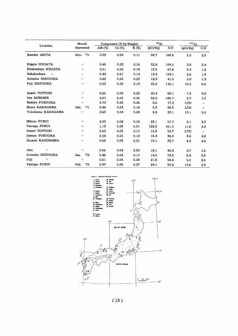|                               | Month            |         | Component (% by Weight) |         | $90$ Sr  |       | 137Cs      |     |
|-------------------------------|------------------|---------|-------------------------|---------|----------|-------|------------|-----|
| Location                      | Harvested        | Ash (%) | Ca (%)                  | $K(\%)$ | (pCi/Kg) | S.U   | (pCi/Kg)   | C.U |
| Kawabe AKITA                  | Nov. '71         | 0.39    | 0.02                    | 0.11    | 33.7     | 168.6 | 2,2        | 2.0 |
| Niigata NIIGATA               | $\bullet$        | 0.45    | 0.03                    | 0.16    | 32.8     | 109.5 | 3.8        | 2.4 |
| Kitakanbara NIIGATA           | $\cdot$          | 0.51    | 0.02                    | 0.19    | 13.5     | 67.6  | 3.4        | 1.8 |
| Nakakanbara<br>$\pmb{\cdots}$ | $\bullet$        | 0.44    | 0.01                    | 0.14    | 12.4     | 124.1 | 2.6        | 1.9 |
| Gotenba SHIZUOKA              | $\cdot$          | 0.62    | 0.03                    | 0.22    | 12.3     | 41.0  | 2.9        | 1.3 |
| Fuji SHIZUOKA                 | $\cdot\cdot$     | 0.53    | 0.02                    | 0.19    | 23.2     | 116.1 | 12.5       | 6.6 |
| Iwami TOTTORI                 | $\cdot\cdot$     | 0.65    | 0.03                    | 0.23    | 20.4     | 68.1  | 1.8        | 0,8 |
| Ota SHIMANE                   | $\cdots$         | 0.67    | 0.03                    | 0.26    | 56.0     | 186.7 | 2.7        | 1.0 |
| Kasuya FUKUOKA                | $\cdots$         | 0.74    | 0.05                    | 0.26    | 8,6      | 17.2  | <b>LTD</b> |     |
| Miura KANAGAWA                | '71<br>Dec.      | 0.48    | 0.02                    | 0.16    | 5.3      | 26.3  | LTD        | -   |
| Yokohama KANAGAWA             | $\bullet$        | 0.63    | 0.04                    | 0.24    | 8.8      | 22.1  | 13.1       | 5.5 |
| Mikata FUKUI                  | $\cdot$          | 0.55    | 0.04                    | 0.18    | 23.1     | 57.7  | 4.1        | 2.3 |
| Tsuruga FUKUI                 | $\bullet$        | 1.19    | 0.08                    | 0.31    | 128.8    | 161.0 | 11.6       | 3,8 |
| Iwami TOTTORI                 | $\bullet\bullet$ | 0.50    | 0.03                    | 0.17    | 15.8     | 52.7  | LTD        | -   |
| Sawara FUKUOKA                | $\cdots$         | 0.54    | 0.05                    | 0.18    | 18.4     | 36.8  | 8.6        | 4.8 |
| Ibusuki KAGOSHIMA             | $\cdots$         | 0.68    | 0.03                    | 0.21    | 10.1     | 33.7  | 4.3        | 2.0 |
| Aira<br>$\cdot$               | $\pmb{\cdot}$    | 0.66    | 0.04                    | 0.30    | 18.1     | 45.3  | 4.7        | 1.6 |
| Gotenba SHIZUOKA              | '72<br>Jan.      | 0.48    | 0.02                    | 0.17    | 14.5     | 72.5  | 3.4        | 2.0 |
| Fuji<br>$\pmb{\cdot}$         | $\cdot$          | 0.61    | 0.04                    | 0.20    | 21.8     | 54.4  | 5.0        | 2.5 |
| Tsuruqa FUKUI                 | "72"<br>Feb.     | 0.97    | 0.08                    | 0.27    | 24.1     | 30.2  | 10.6       | 3.9 |

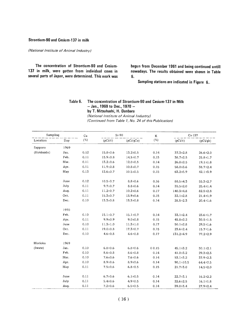#### Strontium-90 and Cesium-137 in milk

(National Institute of Animal Industry)

The concentration of Strontium-90 and Cesium-137 in milk, were gotten from individual cows in several parts of Japan, were determined. This work was begun from December 1961 and being continued untill nowadays. The results obtained were shown in Table 6.

Sampling stations are indicated in Figure 6.

#### Table 6. The concentration of Strontium-90 and Cesium-137 in Milk  $-$  Jan., 1969 to Dec., 1970  $$ by T. Mitsuhashi, H. D (National Institute of Animal Industry) (Continued from Table 1, No. 24 of this Publication)

| Sampling   |      | Ca      | $Sr-90$        |                | K       | $Cs-137$             |                |  |
|------------|------|---------|----------------|----------------|---------|----------------------|----------------|--|
| Location   | Day  | $(\% )$ | $(pCi/\ell)$   | (pCi/gCa)      | $(\% )$ | (pC <sub>i</sub> /l) | (pCi/qk)       |  |
| Sapporo    | 1969 |         |                |                |         |                      |                |  |
| (Hokkaido) | Jan. | 0.12    | $15.8 \pm 0.6$ | $13.2 \pm 0.5$ | 0.14    | $37.3 \pm 2.8$       | $26.6 \pm 2.0$ |  |
|            | Feb. | 0.11    | $15.9 \pm 0.8$ | $14.5 \pm 0.7$ | 0.15    | $38.7 \pm 2.5$       | $25.8 \pm 1.7$ |  |
|            | Mar. | 0.11    | $13.2 \pm 0.6$ | $12.0 \pm 0.5$ | 0.14    | $26.8 \pm 2.5$       | $19.1 \pm 1.8$ |  |
|            | Apr. | 0.11    | $11.9 + 0.8$   | $10.8 \pm 0.7$ | 0.15    | 58.0±3.6             | $38.7 \pm 2.4$ |  |
|            | May  | 0.13    | $13.6 \pm 0.7$ | $10.5 \pm 0.5$ | 0.15    | $63.2 + 5.9$         | $42.1 \pm 3.9$ |  |
|            | June | 0.12    | $10.5 \pm 0.7$ | $8.8 \pm 0.6$  | 0.16    | $88.5 \pm 4.3$       | $55.3 \pm 2.7$ |  |
|            | July | 0.11    | $9.7 \pm 0.7$  | $8.8 \pm 0.6$  | 0.14    | $35.5 \pm 2.0$       | $25.4 \pm 1.4$ |  |
|            | Aug. | 0.11    | $11.2 \pm 0.7$ | $10.2 \pm 0.6$ | 0.17    | 140.3±4.8            | $82.5 \pm 2.8$ |  |
|            | Oct. | 0.11    | $15.3 \pm 0.7$ | 13.9±0.6       | 0.15    | $32.1 \pm 2.8$       | $21.4 \pm 1.9$ |  |
|            | Dec. | 0.10    | $13.3 \pm 0.8$ | $13.3 \pm 0.8$ | 0.14    | $28.5 \pm 2.3$       | $20.4 \pm 1.6$ |  |
|            | 1970 |         |                |                |         |                      |                |  |
|            | Feb. | 0.10    | $15.1 \pm 0.7$ | $15.1 \pm 0.7$ | 0.14    | $33.1 \pm 2.4$       | $23.6 \pm 1.7$ |  |
|            | Apr. | 0.11    | $9.9 \pm 0.9$  | $9.0 + 0.8$    | 0.15    | $45.8 \pm 2.2$       | $30.5 \pm 1.5$ |  |
|            | June | 0.10    | $11.3 \pm 1.0$ | $11.3 \pm 1.0$ | 0.17    | $50.1 \pm 2.8$       | $29.5 \pm 1.6$ |  |
|            | Oct. | 0.11    | $19.0 \pm 0.8$ | $17.3 \pm 0.7$ | 0.15    | $23.6 \pm 2.4$       | $15.7 \pm 1.6$ |  |
|            | Dec. | 0.10    | $4.6 \pm 0.8$  | $4.6 \pm 0.8$  | 0.17    | 131.2±4.9            | $77.2 \pm 2.9$ |  |
| Morioka    | 1969 |         |                |                |         |                      |                |  |
| (Iwate)    | Jan. | 0.10    | $6.8 \pm 0.6$  | $6.8 \pm 0.6$  | 00.15   | $45.1 \pm 3.2$       | $30.1 \pm 2.1$ |  |
|            | Feb. | 0.10    | $8.6 \pm 0.8$  | $8.6 \pm 0.8$  | 0.14    | $41.0 \pm 3.2$       | $29.3 \pm 2.3$ |  |
|            | Mar. | 0.10    | $7.6 \pm 0.6$  | $7.6 \pm 0.6$  | 0.14    | $53.1 + 3.2$         | $37.9 \pm 2.3$ |  |
|            | Apr. | 0.10    | $8.9 \pm 0.6$  | $8.9 + 0.6$    | 0.14    | $90.1 \pm 10.5$      | $64.4 \pm 7.5$ |  |
|            | May  | 0.11    | $7.5 \pm 0.6$  | $6.8 + 0.5$    | 0.15    | $21.7 \pm 3.0$       | $14.5 \pm 2.0$ |  |
|            | June | 0.11    | $6.7 \pm 0.6$  | $6.1 \pm 0.5$  | 0.14    | $22.7 \pm 3.1$       | $16.2 \pm 2.2$ |  |
|            | July | 0.11    | $5.4 \pm 0.6$  | $4.9 \pm 0.5$  | 0.14    | $22.6 \pm 2.5$       | $16.1 \pm 1.8$ |  |
|            | Auq. | 0.11    | $7.2 \pm 0.6$  | $6.5 \pm 0.5$  | 0.14    | 39.0±3.4             | $27.9 \pm 2.4$ |  |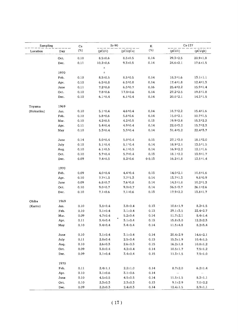| Sampling   |      | Ca   | $Sr-90$        |                | $\rm K$ | $Cs - 137$     |                |  |
|------------|------|------|----------------|----------------|---------|----------------|----------------|--|
| Location   | Day  | (%)  | $(pCi/\ell)$   | (pCi/gCa)      | $(\%)$  | $(pCi/\ell)$   | (pCi/gk)       |  |
|            | Oct. | 0.10 | $8.5 \pm 0.6$  | $8.5 \pm 0.5$  | 0.14    | $29.3 \pm 2.5$ | $20.9 \pm 1.8$ |  |
|            | Dec. | 0,11 | $10.2 \pm 0.6$ | $9.3 \pm 0.5$  | 0.14    | $24.6 \pm 2.1$ | $17.6 \pm 1.5$ |  |
|            |      |      | $\pm$          |                |         |                |                |  |
|            | 1970 |      | Ŧ              |                |         |                |                |  |
|            | Feb. | 0.10 | $8.5 \pm 0.5$  | $8.5 \pm 0.5$  | 0.14    | $18.3 \pm 1.6$ | $13.1 \pm 1.1$ |  |
|            | Apr. | 0.10 | $6.5 = 0.8$    | $6.5 \pm 0.8$  | 0.14    | $17.4 \pm 1.8$ | $12.4 \pm 1.3$ |  |
|            | June | 0.11 | $7.2 \pm 0.8$  | $6.5 \pm 0.7$  | 0.16    | $25.4 \pm 2.2$ | $15.9 = 1.4$   |  |
|            | Oct. | 0.10 | $7.8 \pm 0.6$  | $77.8 \pm 0.6$ | 0.14    | $27.2 \pm 2.5$ | $19.8 \pm 1.8$ |  |
|            | Dec. | 0.10 | $6.1 \pm 0.4$  | $6.1 \pm 0.4$  | 0.14    | $20.0 + 2.1$   | $14.3 \pm 1.5$ |  |
| Toyama     | 1969 |      |                |                |         |                |                |  |
| (Hokuriku) | Jan. | 0.10 | $5.1 \pm 0.4$  | $4.6 \pm 0.4$  | 0.14    | $18.7 \pm 2.2$ | $15.4 \pm 1.6$ |  |
|            | Feb. | 0.10 | $5.8 + 0.6$    | $5.8 \pm 0.6$  | 0.14    | $15.0 \pm 2.1$ | $10.7 = 1.5$   |  |
|            | Mar. | 0.10 | $4.2 \pm 0.5$  | $4.2 \pm 0.5$  | 0.13    | $19.9 \pm 2.8$ | $15.3 \pm 2.2$ |  |
|            | Apr. | 0.11 | $5.4 \pm 0.4$  | $4.9 \pm 0.4$  | 0.14    | 22.0 ± 3.2     | $15.7*2.3$     |  |
|            | May  | 0.10 | $5.3 \pm 0.4$  | $5.3 \pm 0.4$  | 0.14    | 31.4 \$5.2     | $22.4 + 3.7$   |  |
|            | June | 0.14 | $5.0 + 0.4$    | $5.0 \pm 0.4$  | 0.15    | $27.1 \pm 3.0$ | $18.1 \pm 2.0$ |  |
|            | July | 0.10 | $5.1 \pm 0.4$  | $5.1 \pm 0.4$  | 0.14    | $18.9 \pm 2.1$ | $13.5 \pm 1.5$ |  |
|            | Aug. | 0.10 | $6.1 \pm 0.5$  | $6.1 \pm 0.5$  | 0.14    | 16.9 ± 2.2     | $12.1 \pm 1.6$ |  |
|            | Oct. | 0.10 | $5.7 \pm 0.4$  | $5.7 \pm 0.4$  | 0.13    | $18.1 \pm 2.2$ | 13.9 ± 1.7     |  |
|            | Dec. | 0.09 | $7.4 \pm 0.5$  | $8.2 \pm 0.6$  | 00.13   | $16.2 \pm 1.8$ | $12.5 \pm 1.4$ |  |
|            | 1970 |      |                |                |         |                |                |  |
|            | Feb. | 0.09 | $4.0 \pm 0.4$  | $4.4 \pm 0.4$  | 0.13    | $14.0 \pm 2.1$ | $10.8 = 1.6$   |  |
|            | Apr. | 0.10 | $7.7 \pm 1.3$  | $7.7 = 1.3$    | 0.14    | $13.7 = 1.3$   | $9.8*0.9$      |  |
|            | June | 0.09 | $6.8 + 0.7$    | $7.6 \pm 0.8$  | 0.14    | $14.3 \pm 1.8$ | $10.2 \pm 1.3$ |  |
|            | Oct. | 0.10 | $9.0 \pm 0.7$  | $9.0 \pm 0.7$  | 0.14    | $36.5 \pm 3.7$ | $26.1 \pm 2.6$ |  |
|            | Dec. | 0.10 | $7.1 \pm 0.6$  | $7.1 \pm 0.6$  | 0.13    | $17.9 \pm 2.2$ | $13.8 \pm 1.7$ |  |
| Ohiba      | 1969 |      |                |                |         |                |                |  |
| (Kanto)    | Jan. | 0.10 | $3.8 + 0.4$    | $3.8 + 0.4$    | 0.13    | $10.6 \pm 1.9$ | $8.2 \pm 1.5$  |  |
|            | Feb. | 0.10 | $3.1 \pm 0.4$  | $3.1 \pm 0.4$  | 0.13    | $29.1 \pm 3.5$ | $22.4 \pm 2.7$ |  |
|            | Mar. | 0.09 | $4.7 \pm 0.4$  | $5.2 \pm 0.4$  | 0.14    | $11.7 \pm 2.1$ | $8.4 \pm 1.4$  |  |
|            | Apr. | 0.11 | $3.4 \pm 0.4$  | $3.1 \pm 0.4$  | 0.13    | $15.8 \pm 3.0$ | $12.2 \pm 2.3$ |  |
|            | May  | 0.10 | $3.4 \pm 0.4$  | $3.4 \pm 0.4$  | 0.14    | $11.5 \pm 4.8$ | $8.2 \pm 3.4$  |  |
|            | June | 0.10 | $3.1 \pm 0.4$  | $3.1 \pm 0.4$  | 0.14    | $20.4 \pm 2.9$ | $14.6 \pm 2.1$ |  |
|            | July | 0.11 | $2.8 + 0.4$    | $2.5 \pm 0.4$  | 0.13    | $15.3 \pm 1.9$ | $10.4 \pm 1.5$ |  |
|            | Aug. | 0.10 | $2,6 \pm 0.3$  | $2.6 \pm 0.3$  | 0.15    | $16.2 \pm 1.8$ | $10.8 \pm 1.2$ |  |
|            | Oct. | 0.09 | $3.8 + 0.4$    | $4.2 \pm 0.4$  | 0.14    | $10.5 \pm 1.7$ | $7.5 \pm 1.2$  |  |
|            | Dec. | 0.09 | $3.1 \pm 0.4$  | $3.4 \pm 0.4$  | 0.15    | $11.3 \pm 1.5$ | $7.5 \pm 1.0$  |  |
|            | 1970 |      |                |                |         |                |                |  |
|            | Feb. | 0.11 | $2.4 \pm 1.1$  | $2.2 \pm 1.0$  | 0.14    | $8.7 \pm 2.0$  | $6.2 \pm 1.4$  |  |
|            | Apr. | 0.10 | $3.1 \pm 0.6$  | $3.1 \pm 0.6$  | 0.14    |                |                |  |
|            | June | 0.10 | $4.5 \pm 0.5$  | $4.5 \pm 0.5$  | 0.14    | $11.5 \pm 1.5$ | $8.2 \pm 1.1$  |  |
|            | Oct. | 0.10 | $2.3 \pm 0.3$  | $2.3 \pm 0.3$  | 0.13    | $9.1 \pm 2.9$  | $7.0 \pm 2.2$  |  |
|            | Dec. | 0.09 | $2.2 \pm 0.3$  | $2.4 \pm 0.3$  | 0.14    | $12.4 \pm 1.5$ | $8.9 \pm 1.1$  |  |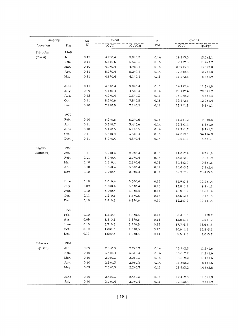| Sampling  |      | $Sr-90$<br>Ca |                |               | $\rm K$ | $Cs-137$        |                |
|-----------|------|---------------|----------------|---------------|---------|-----------------|----------------|
| Location  | Day  | $(\%)$        | $(pCi/\ell)$   | (pCi/gCa)     | $(\% )$ | $(pC\dot{v}/r)$ | (pCi/gk)       |
| Shizuoka  | 1969 |               |                |               |         |                 |                |
| (Tokai)   | Jan. | 0.12          | $4.7 \pm 0.4$  | $3.9 \pm 0.3$ | 0.14    | 19.2±3.0        | $13.7 \pm 2.1$ |
|           | Feb. | 0.11          | $6.1 \pm 0.6$  | $5.5 \pm 0.5$ | 0.15    | $17.1 \pm 2.3$  | $11.4 \pm 2.2$ |
|           | Mar. | 0.10          | 4.9 ± 0.4      | $4.9 + 0.4$   | 0.15    | $20.7 \pm 3.0$  | $13.8 \pm 2.0$ |
|           | Apr. | 0.11          | $5.7 + 0.4$    | $5.2 \pm 0.4$ | 0.14    | 17.8 ± 2.5      | $12.7 \pm 1.8$ |
|           | May  | 0.11          | $4.5^{\pm}0.4$ | $4.1 \pm 0.4$ | 0.13    | $11.2 \pm 2.5$  | $8.6 \pm 1.9$  |
|           | June | 0.11          | $4.3 \pm 0.4$  | $3.9 + 0.4$   | 0.13    | $14.7 + 2.4$    | $11.3 \pm 1.8$ |
|           | July | 0.09          | $4.1 \pm 0.4$  | $4.6 \pm 0.4$ | 0.14    | $29.1 \pm 2.4$  | $20.8 \pm 1.7$ |
|           | Aug. | 0.12          | $4.0 \pm 0.4$  | $3.3 \pm 0.3$ | 0.16    | $13.5 \pm 2.2$  | $8.4 + 1.4$    |
|           | Oct. | 0.11          | $8.2 \pm 0.6$  | $7.5 \pm 0.5$ | 0.15    | $19.4 \pm 2.1$  | $12.9 \pm 1.4$ |
|           | Dec. | 0.10          | $7.1 \pm 0.5$  | $7.1 \pm 0.5$ | 0.16    | $15.7 \pm 1.8$  | $9.8 \pm 1.1$  |
|           | 1970 |               |                |               |         |                 |                |
|           | Feb. | 0.10          | $6.2 \pm 0.6$  | $6.2 \pm 0.6$ | 0.15    | $11.3 \pm 1.2$  | $7.5 \pm 0.8$  |
|           | Apr. | 0.11          | $3.7 \pm 0.7$  | $3.4 \pm 0.6$ | 0.14    | $12.3 \pm 1.4$  | $8.8 \pm 1.0$  |
|           | June | 0.10          | $6.1 \pm 0.5$  | $6.1 \pm 0.5$ | 0.14    | $12.7 \pm 1.7$  | $9.1 \pm 1.2$  |
|           | Oct. | 0.11          | $3.6 \pm 0.4$  | $3.3 \pm 0.4$ | 0.14    | $47.8 \pm 9.6$  | 34.1 ±6.9      |
|           | Dec. | 0.11          | $5.0 \pm 0.4$  | $4.5 \pm 0.4$ | 0.14    | $6.0 \pm 1.6$   | $4.3 \pm 1.1$  |
| Kagawa    | 1969 |               |                |               |         |                 |                |
| (Shikoku) | Jan. | 0.11          | $3.2 \pm 0.4$  | $2,9*0.4$     | 0.15    | 14.0±2.4        | $9.3 \pm 1.6$  |
|           | Feb. | 0.11          | $3.0 \pm 0.4$  | $2.7 - 0.4$   | 0.14    | $13.3 \pm 2.5$  | $9.5 \pm 1.9$  |
|           | Mar. | 0.10          | $2.8 + 0.4$    | $2.8 \pm 0.4$ | 0.15    | $14.4 \pm 2.4$  | $9.6 \pm 1.6$  |
|           | Apr. | 0.10          | $3.0 + 0.4$    | $3.0 \pm 0.4$ | 0.14    | $10.0 \pm 3.3$  | $7.1 \pm 2.4$  |
|           | May  | 0.10          | 2.9±0.4        | $2.9 + 0.4$   | 0.14    | $39.7 \pm 7.9$  | $28.4 + 5.6$   |
|           | June | 0.10          | $3.0 \pm 0.4$  | $3.0 \pm 0.4$ | 0.13    | $15.9 \pm 1.8$  | $12.2 + 1.4$   |
|           | July | 0.09          | $3.0 + 0.4$    | $3.3 \pm 0.4$ | 0.15    | 14.8 ±1.7       | $9.9 \pm 1.1$  |
|           | Aug. | 0.10          | $3.0 \pm 0.4$  | $3.0 \pm 0.4$ | 0.14    | $16.3 \pm 1.9$  | $11.6 \pm 1.4$ |
|           | Oct. | 0.11          | $7.2 \pm 0.5$  | $6.5 \pm 0.5$ | 0.15    | 13.6 ± 2.4      | $9.1 \pm 1.6$  |
|           | Dec. | 0.10          | $6.8 + 0.6$    | $6.8 + 0.6$   | 0.14    | $14.2 \pm 1.9$  | $10.1 \pm 1.4$ |
|           | 1970 |               |                |               |         |                 |                |
|           | Feb. | 0.10          | $1.8 + 0.5$    | $1.8 \pm 0.5$ | 0.14    | $8.4 \pm 1.0$   | $6.1 \pm 0.7$  |
|           | Apr. | 0.09          | $1.8 + 0.5$    | $1.8 \pm 0.6$ | 0.13    | $12.0 + 2.2$    | $9.0 \pm 1.7$  |
|           | June | 0.10          | $5.3 \pm 0.5$  | $5.3 \pm 0.5$ | 0.13    | $17.7 \pm 1.9$  | $13.6 \pm 1.5$ |
|           | Oct. | 0.10          | $1.8 + 0.3$    | $1.8 + 0.3$   | 0.13    | $20.6 + 4.5$    | 15.8 ± 3.5     |
|           | Dec. | 0.11          | $1.6 \pm 0.3$  | $1.5 \pm 0.3$ | 0.14    | $5.6 \pm 1.0$   | $4.0 \pm 0.7$  |
| Fukuoka   | 1969 |               |                |               |         |                 |                |
| (Kyushu)  | Jan. | 0.09          | $2.0 \pm 0.3$  | $2.2 \pm 0.3$ | 0.14    | $16.1 \pm 2.3$  | $11.5 \pm 1.6$ |
|           | Feb. | 0.10          | $3.3 \pm 0.4$  | $3.3 \pm 0.4$ | 0.14    | 15.6±2.2        | $11.1 \pm 1.6$ |
|           | Mar. | 0.10          | $2.0 \pm 0.3$  | $2.0 + 0.3$   | 0.14    | $15.6 \pm 2.2$  | $11.1 \pm 1.6$ |
|           | Apr. | 0.10          | $2.9 \pm 0.3$  | $2.9 + 0.3$   | 0.14    | $11.3 \pm 2.2$  | $8.1 \pm 1.6$  |
|           | May  | 0.09          | $2.0 \pm 0.3$  | $2.2 \pm 0.3$ | 0.13    | $18.9 \pm 3.2$  | $14.5 \pm 2.5$ |
|           | June | 0.10          | $2.4 \pm 0.3$  | $2.4 \pm 0.3$ | 0.15    | $17.4 \pm 2.8$  | $11.6 \pm 1.9$ |
|           | July | 0.10          | $2.7 \pm 0.4$  | $2.7 \pm 0.4$ | 0.13    | $12.2 \pm 2.5$  | $9.4 \pm 1.9$  |